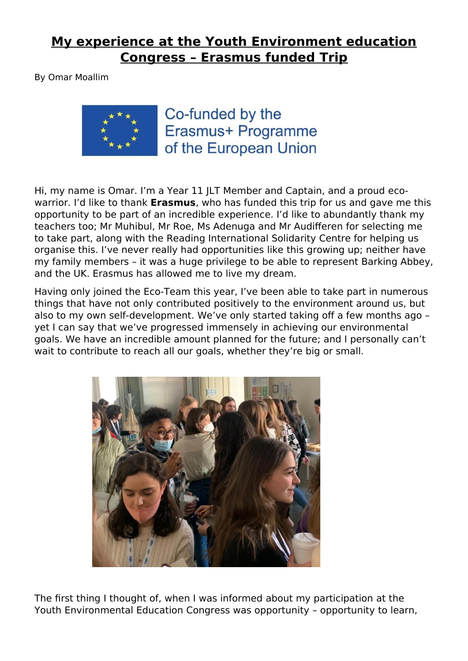## **My experience at the Youth Environment education Congress – Erasmus funded Trip**

By Omar Moallim



Co-funded by the Erasmus+ Programme of the European Union

Hi, my name is Omar. I'm a Year 11 JLT Member and Captain, and a proud ecowarrior. I'd like to thank **Erasmus**, who has funded this trip for us and gave me this opportunity to be part of an incredible experience. I'd like to abundantly thank my teachers too; Mr Muhibul, Mr Roe, Ms Adenuga and Mr Audifferen for selecting me to take part, along with the Reading International Solidarity Centre for helping us organise this. I've never really had opportunities like this growing up; neither have my family members – it was a huge privilege to be able to represent Barking Abbey, and the UK. Erasmus has allowed me to live my dream.

Having only joined the Eco-Team this year, I've been able to take part in numerous things that have not only contributed positively to the environment around us, but also to my own self-development. We've only started taking off a few months ago – yet I can say that we've progressed immensely in achieving our environmental goals. We have an incredible amount planned for the future; and I personally can't wait to contribute to reach all our goals, whether they're big or small.



The first thing I thought of, when I was informed about my participation at the Youth Environmental Education Congress was opportunity – opportunity to learn,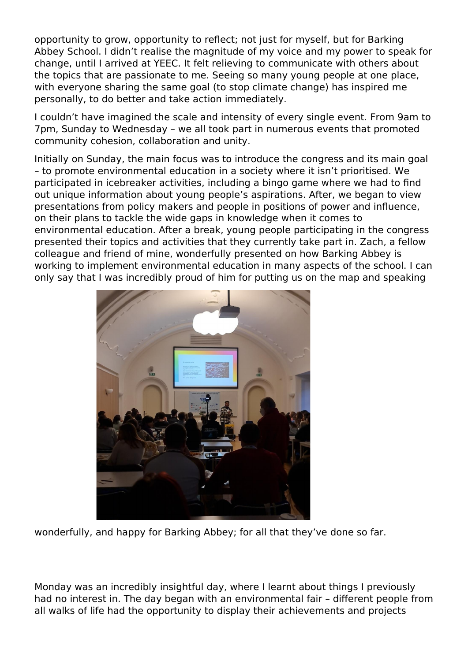opportunity to grow, opportunity to reflect; not just for myself, but for Barking Abbey School. I didn't realise the magnitude of my voice and my power to speak for change, until I arrived at YEEC. It felt relieving to communicate with others about the topics that are passionate to me. Seeing so many young people at one place, with everyone sharing the same goal (to stop climate change) has inspired me personally, to do better and take action immediately.

I couldn't have imagined the scale and intensity of every single event. From 9am to 7pm, Sunday to Wednesday – we all took part in numerous events that promoted community cohesion, collaboration and unity.

Initially on Sunday, the main focus was to introduce the congress and its main goal – to promote environmental education in a society where it isn't prioritised. We participated in icebreaker activities, including a bingo game where we had to find out unique information about young people's aspirations. After, we began to view presentations from policy makers and people in positions of power and influence, on their plans to tackle the wide gaps in knowledge when it comes to environmental education. After a break, young people participating in the congress presented their topics and activities that they currently take part in. Zach, a fellow colleague and friend of mine, wonderfully presented on how Barking Abbey is working to implement environmental education in many aspects of the school. I can only say that I was incredibly proud of him for putting us on the map and speaking



wonderfully, and happy for Barking Abbey; for all that they've done so far.

Monday was an incredibly insightful day, where I learnt about things I previously had no interest in. The day began with an environmental fair – different people from all walks of life had the opportunity to display their achievements and projects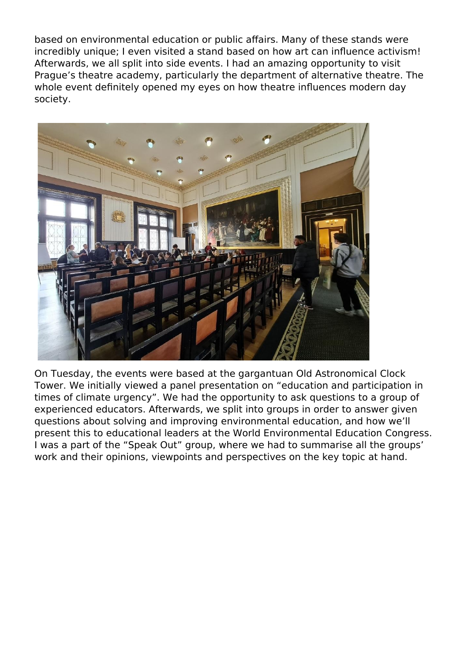based on environmental education or public affairs. Many of these stands were incredibly unique; I even visited a stand based on how art can influence activism! Afterwards, we all split into side events. I had an amazing opportunity to visit Prague's theatre academy, particularly the department of alternative theatre. The whole event definitely opened my eyes on how theatre influences modern day society.



On Tuesday, the events were based at the gargantuan Old Astronomical Clock Tower. We initially viewed a panel presentation on "education and participation in times of climate urgency". We had the opportunity to ask questions to a group of experienced educators. Afterwards, we split into groups in order to answer given questions about solving and improving environmental education, and how we'll present this to educational leaders at the World Environmental Education Congress. I was a part of the "Speak Out" group, where we had to summarise all the groups' work and their opinions, viewpoints and perspectives on the key topic at hand.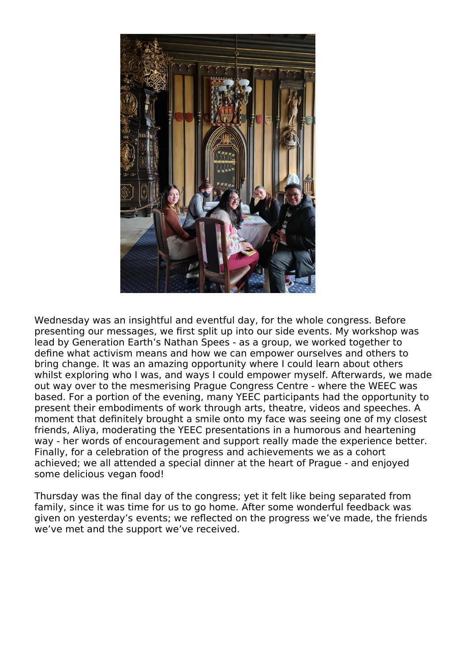

Wednesday was an insightful and eventful day, for the whole congress. Before presenting our messages, we first split up into our side events. My workshop was lead by Generation Earth's Nathan Spees - as a group, we worked together to define what activism means and how we can empower ourselves and others to bring change. It was an amazing opportunity where I could learn about others whilst exploring who I was, and ways I could empower myself. Afterwards, we made out way over to the mesmerising Prague Congress Centre - where the WEEC was based. For a portion of the evening, many YEEC participants had the opportunity to present their embodiments of work through arts, theatre, videos and speeches. A moment that definitely brought a smile onto my face was seeing one of my closest friends, Aliya, moderating the YEEC presentations in a humorous and heartening way - her words of encouragement and support really made the experience better. Finally, for a celebration of the progress and achievements we as a cohort achieved; we all attended a special dinner at the heart of Prague - and enjoyed some delicious vegan food!

Thursday was the final day of the congress; yet it felt like being separated from family, since it was time for us to go home. After some wonderful feedback was given on yesterday's events; we reflected on the progress we've made, the friends we've met and the support we've received.